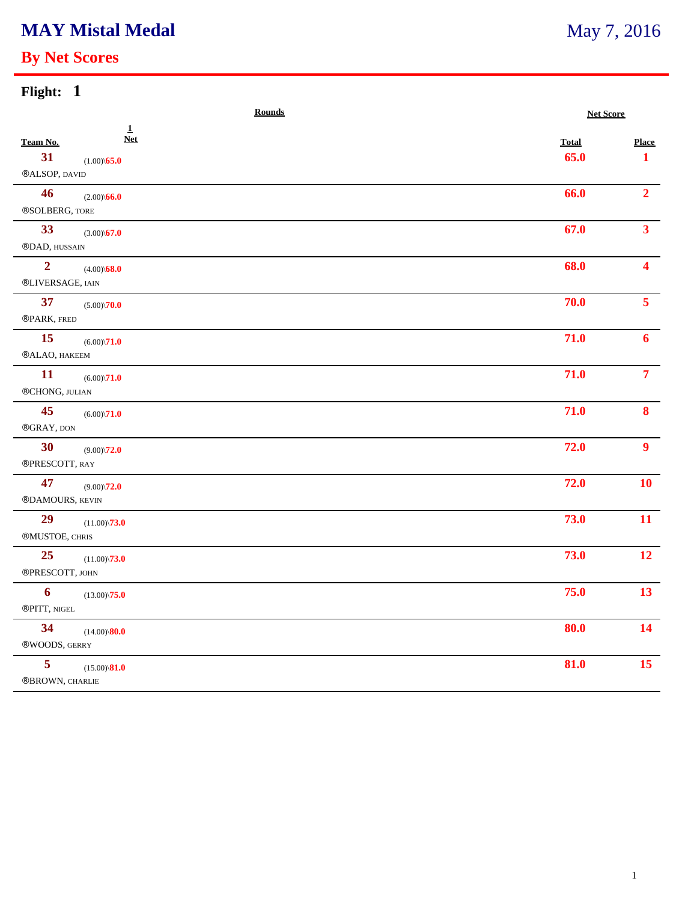# **MAY Mistal Medal**

### **By Net Scores**

| Flight: 1 |  |  |  |  |  |
|-----------|--|--|--|--|--|
|-----------|--|--|--|--|--|

|                                    | <b>Rounds</b>                                     |                      | <b>Net Score</b>  |  |
|------------------------------------|---------------------------------------------------|----------------------|-------------------|--|
| Team No.<br>31<br>®ALSOP, DAVID    | $\mathbf{1}$<br><b>Net</b><br>$(1.00)\sqrt{65.0}$ | <b>Total</b><br>65.0 | <b>Place</b><br>1 |  |
| 46<br>®SOLBERG, TORE               | $(2.00)\$ <b>66.0</b>                             | 66.0                 | $\overline{2}$    |  |
| 33<br>®DAD, HUSSAIN                | $(3.00)\sqrt{67.0}$                               | 67.0                 | 3 <sup>1</sup>    |  |
| $\overline{2}$<br>®LIVERSAGE, IAIN | $(4.00)\$ <b>68.0</b>                             | 68.0                 | $\blacktriangle$  |  |
| 37<br>®PARK, FRED                  | $(5.00)\sqrt{70.0}$                               | 70.0                 | 5 <sup>1</sup>    |  |
| 15<br>®ALAO, HAKEEM                | $(6.00)\sqrt{71.0}$                               | 71.0                 | 6                 |  |
| <b>11</b><br>®CHONG, JULIAN        | $(6.00)\backslash\mathbf{71.0}$                   | 71.0                 | 7 <sup>7</sup>    |  |
| 45<br>$\circledR GRAY,$ DON        | $(6.00)\sqrt{71.0}$                               | 71.0                 | 8                 |  |
| 30<br>®PRESCOTT, RAY               | $(9.00)\backslash 72.0$                           | 72.0                 | 9 <sup>°</sup>    |  |
| 47<br>®DAMOURS, KEVIN              | $(9.00)\sqrt{72.0}$                               | 72.0                 | 10 <sup>°</sup>   |  |
| 29<br>$@MUSTOE, \, \rm{CHRIS}$     | $(11.00)\sqrt{73.0}$                              | 73.0                 | 11                |  |
| 25<br>®PRESCOTT, JOHN              | $(11.00)\sqrt{73.0}$                              | 73.0                 | 12 <sup>7</sup>   |  |
| 6<br>®PITT, NIGEL                  | $(13.00)\sqrt{75.0}$                              | 75.0                 | 13 <sup>7</sup>   |  |
| 34<br>®WOODS, GERRY                | $(14.00)\$ <sup>80.0</sup>                        | 80.0                 | 14                |  |
| $5\phantom{.0}$<br>®BROWN, CHARLIE | $(15.00)\$ <sup>81.0</sup>                        | 81.0                 | 15                |  |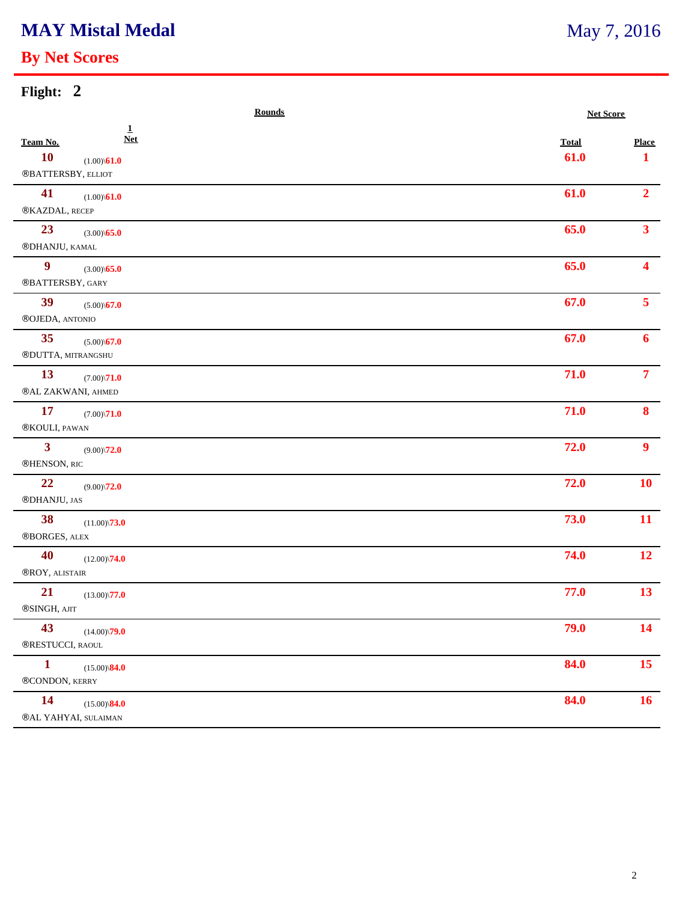## **MAY Mistal Medal**

### **By Net Scores**

| Flight: 2                                                                                          |                      |                              |  |
|----------------------------------------------------------------------------------------------------|----------------------|------------------------------|--|
|                                                                                                    | <b>Rounds</b>        | <b>Net Score</b>             |  |
| $\mathbf{1}$<br><b>Net</b><br>Team No.<br><b>10</b><br>$(1.00)\$ <b>61.0</b><br>®BATTERSBY, ELLIOT | <b>Total</b><br>61.0 | <b>Place</b><br>$\mathbf{1}$ |  |
| 41<br>$(1.00)\sqrt{61.0}$<br>®KAZDAL, RECEP                                                        | 61.0                 | 2 <sub>1</sub>               |  |
| 23<br>$(3.00)\sqrt{65.0}$<br>®DHANJU, KAMAL                                                        | 65.0                 | 3 <sup>7</sup>               |  |
| $\boldsymbol{9}$<br>$(3.00)\$ 65.0<br>®BATTERSBY, GARY                                             | 65.0                 | $\overline{\mathbf{4}}$      |  |
| 39<br>$(5.00)\$ <b>67.0</b><br>®OJEDA, ANTONIO                                                     | 67.0                 | 5 <sup>7</sup>               |  |
| 35<br>$(5.00)\$ 67.0<br>®DUTTA, MITRANGSHU                                                         | 67.0                 | 6                            |  |
| 13<br>$(7.00)\sqrt{71.0}$<br>$@AL$ ZAKWANI, AHMED                                                  | 71.0                 | 7 <sup>1</sup>               |  |
| 17<br>$(7.00)\sqrt{71.0}$<br>®KOULI, PAWAN                                                         | 71.0                 | 8                            |  |
| $\mathbf{3}$<br>$(9.00)\backslash\mathbf{72.0}$<br>®HENSON, RIC                                    | 72.0                 | 9 <sup>°</sup>               |  |
| 22<br>$(9.00)\backslash\mathbf{72.0}$<br>®DHANJU, JAS                                              | 72.0                 | <b>10</b>                    |  |
| 38<br>$(11.00)\sqrt{73.0}$<br>®BORGES, ALEX                                                        | 73.0                 | <b>11</b>                    |  |
| 40<br>$(12.00)\sqrt{74.0}$<br>®ROY, ALISTAIR                                                       | 74.0                 | 12                           |  |
| 21<br>$(13.00)\sqrt{77.0}$<br>$\circledR$ SINGH, AJIT                                              | 77.0                 | 13                           |  |
| 43<br>$(14.00)\sqrt{79.0}$<br>®RESTUCCI, RAOUL                                                     | 79.0                 | 14                           |  |
| $\mathbf{1}$<br>$(15.00)\$ <sup>84.0</sup><br>®CONDON, KERRY                                       | 84.0                 | 15                           |  |

## **14** (15.00)\**84.0 84.0 84.0 84.0 84.0**

®AL YAHYAI, SULAIMAN